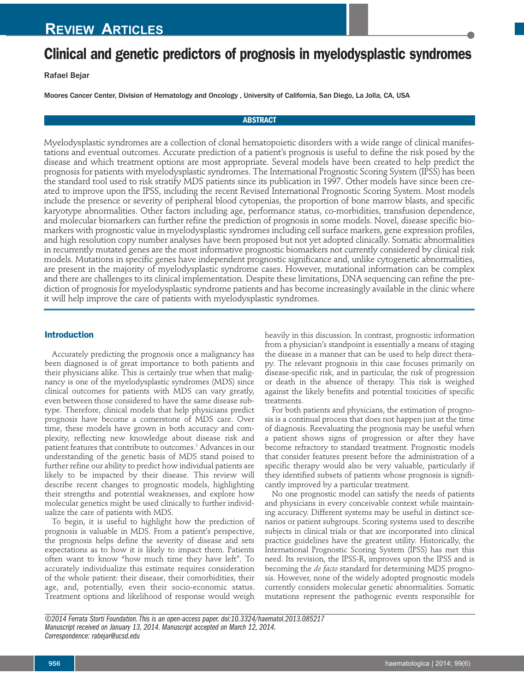## **REVIEW ARTICLES**

# **Clinical and genetic predictors of prognosis in myelodysplastic syndromes**

Rafael Bejar

Moores Cancer Center, Division of Hematology and Oncology , University of California, San Diego, La Jolla, CA, USA

#### **ABSTRACT**

Myelodysplastic syndromes are a collection of clonal hematopoietic disorders with a wide range of clinical manifestations and eventual outcomes. Accurate prediction of a patient's prognosis is useful to define the risk posed by the disease and which treatment options are most appropriate. Several models have been created to help predict the prognosis for patients with myelodysplastic syndromes. The International Prognostic Scoring System (IPSS) has been the standard tool used to risk stratify MDS patients since its publication in 1997. Other models have since been created to improve upon the IPSS, including the recent Revised International Prognostic Scoring System. Most models include the presence or severity of peripheral blood cytopenias, the proportion of bone marrow blasts, and specific karyotype abnormalities. Other factors including age, performance status, co-morbidities, transfusion dependence, and molecular biomarkers can further refine the prediction of prognosis in some models. Novel, disease specific biomarkers with prognostic value in myelodysplastic syndromes including cell surface markers, gene expression profiles, and high resolution copy number analyses have been proposed but not yet adopted clinically. Somatic abnormalities in recurrently mutated genes are the most informative prognostic biomarkers not currently considered by clinical risk models. Mutations in specific genes have independent prognostic significance and, unlike cytogenetic abnormalities, are present in the majority of myelodysplastic syndrome cases. However, mutational information can be complex and there are challenges to its clinical implementation. Despite these limitations, DNA sequencing can refine the prediction of prognosis for myelodysplastic syndrome patients and has become increasingly available in the clinic where it will help improve the care of patients with myelodysplastic syndromes.

## **Introduction**

Accurately predicting the prognosis once a malignancy has been diagnosed is of great importance to both patients and their physicians alike. This is certainly true when that malignancy is one of the myelodysplastic syndromes (MDS) since clinical outcomes for patients with MDS can vary greatly, even between those considered to have the same disease subtype. Therefore, clinical models that help physicians predict prognosis have become a cornerstone of MDS care. Over time, these models have grown in both accuracy and complexity, reflecting new knowledge about disease risk and patient features that contribute to outcomes.<sup>1</sup> Advances in our understanding of the genetic basis of MDS stand poised to further refine our ability to predict how individual patients are likely to be impacted by their disease. This review will describe recent changes to prognostic models, highlighting their strengths and potential weaknesses, and explore how molecular genetics might be used clinically to further individualize the care of patients with MDS.

To begin, it is useful to highlight how the prediction of prognosis is valuable in MDS. From a patient's perspective, the prognosis helps define the severity of disease and sets expectations as to how it is likely to impact them. Patients often want to know "how much time they have left". To accurately individualize this estimate requires consideration of the whole patient: their disease, their comorbidities, their age, and, potentially, even their socio-economic status. Treatment options and likelihood of response would weigh heavily in this discussion. In contrast, prognostic information from a physician's standpoint is essentially a means of staging the disease in a manner that can be used to help direct therapy. The relevant prognosis in this case focuses primarily on disease-specific risk, and in particular, the risk of progression or death in the absence of therapy. This risk is weighed against the likely benefits and potential toxicities of specific treatments.

For both patients and physicians, the estimation of prognosis is a continual process that does not happen just at the time of diagnosis. Reevaluating the prognosis may be useful when a patient shows signs of progression or after they have become refractory to standard treatment. Prognostic models that consider features present before the administration of a specific therapy would also be very valuable, particularly if they identified subsets of patients whose prognosis is significantly improved by a particular treatment.

No one prognostic model can satisfy the needs of patients and physicians in every conceivable context while maintaining accuracy. Different systems may be useful in distinct scenarios or patient subgroups. Scoring systems used to describe subjects in clinical trials or that are incorporated into clinical practice guidelines have the greatest utility. Historically, the International Prognostic Scoring System (IPSS) has met this need. Its revision, the IPSS-R, improves upon the IPSS and is becoming the *de facto* standard for determining MDS prognosis. However, none of the widely adopted prognostic models currently considers molecular genetic abnormalities. Somatic mutations represent the pathogenic events responsible for

*©2014 Ferrata Storti Foundation. This is an open-access paper. doi:10.3324/haematol.2013.085217 Manuscript received on January 13, 2014. Manuscript accepted on March 12, 2014. Correspondence: rabejar@ucsd.edu*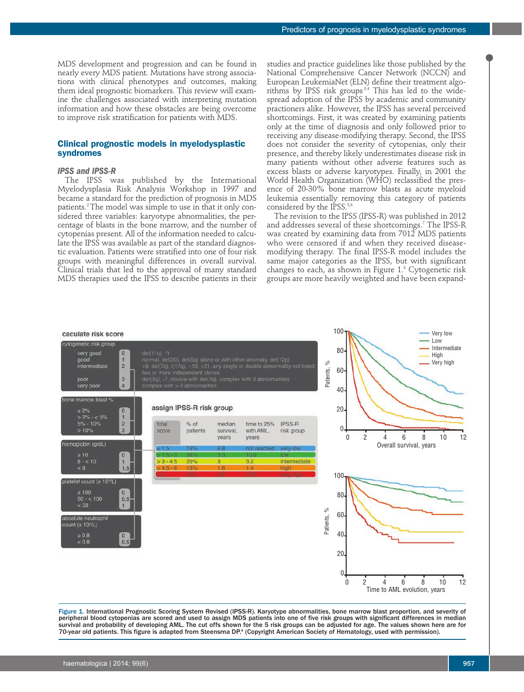MDS development and progression and can be found in nearly every MDS patient. Mutations have strong associations with clinical phenotypes and outcomes, making them ideal prognostic biomarkers. This review will examine the challenges associated with interpreting mutation information and how these obstacles are being overcome to improve risk stratification for patients with MDS.

## **Clinical prognostic models in myelodysplastic syndromes**

## *IPSS and IPSS-R*

The IPSS was published by the International Myelodysplasia Risk Analysis Workshop in 1997 and became a standard for the prediction of prognosis in MDS patients.<sup>2</sup> The model was simple to use in that it only considered three variables: karyotype abnormalities, the percentage of blasts in the bone marrow, and the number of cytopenias present. All of the information needed to calculate the IPSS was available as part of the standard diagnostic evaluation. Patients were stratified into one of four risk groups with meaningful differences in overall survival. Clinical trials that led to the approval of many standard MDS therapies used the IPSS to describe patients in their

studies and practice guidelines like those published by the National Comprehensive Cancer Network (NCCN) and European LeukemiaNet (ELN) define their treatment algorithms by IPSS risk groups $3,4$  This has led to the widespread adoption of the IPSS by academic and community practioners alike. However, the IPSS has several perceived shortcomings. First, it was created by examining patients only at the time of diagnosis and only followed prior to receiving any disease-modifying therapy. Second, the IPSS does not consider the severity of cytopenias, only their presence, and thereby likely underestimates disease risk in many patients without other adverse features such as excess blasts or adverse karyotypes. Finally, in 2001 the World Health Organization (WHO) reclassified the presence of 20-30% bone marrow blasts as acute myeloid leukemia essentially removing this category of patients considered by the IPSS.<sup>5,6</sup>

The revision to the IPSS (IPSS-R) was published in 2012 and addresses several of these shortcomings.7 The IPSS-R was created by examining data from 7012 MDS patients who were censored if and when they received diseasemodifying therapy. The final IPSS-R model includes the same major categories as the IPSS, but with significant changes to each, as shown in Figure 1.<sup>8</sup> Cytogenetic risk groups are more heavily weighted and have been expand-



Figure 1. International Prognostic Scoring System Revised (IPSS-R). Karyotype abnormalities, bone marrow blast proportion, and severity of peripheral blood cytopenias are scored and used to assign MDS patients into one of five risk groups with significant differences in median survival and probability of developing AML. The cut offs shown for the 5 risk groups can be adjusted for age. The values shown here are for 70-year old patients. This figure is adapted from Steensma DP.<sup>8</sup> (Copyright American Society of Hematology, used with permission).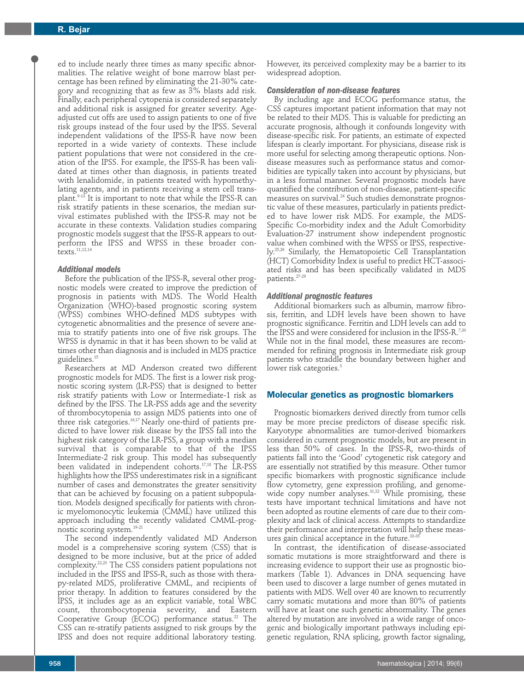ed to include nearly three times as many specific abnormalities. The relative weight of bone marrow blast percentage has been refined by eliminating the 21-30% category and recognizing that as few as 3% blasts add risk. Finally, each peripheral cytopenia is considered separately and additional risk is assigned for greater severity. Ageadjusted cut offs are used to assign patients to one of five risk groups instead of the four used by the IPSS. Several independent validations of the IPSS-R have now been reported in a wide variety of contexts. These include patient populations that were not considered in the creation of the IPSS. For example, the IPSS-R has been validated at times other than diagnosis, in patients treated with lenalidomide, in patients treated with hypomethylating agents, and in patients receiving a stem cell transplant.<sup>9-13</sup> It is important to note that while the IPSS-R can risk stratify patients in these scenarios, the median survival estimates published with the IPSS-R may not be accurate in these contexts. Validation studies comparing prognostic models suggest that the IPSS-R appears to outperform the IPSS and WPSS in these broader contexts.11,12,14

#### *Additional models*

Before the publication of the IPSS-R, several other prognostic models were created to improve the prediction of prognosis in patients with MDS. The World Health Organization (WHO)-based prognostic scoring system (WPSS) combines WHO-defined MDS subtypes with cytogenetic abnormalities and the presence of severe anemia to stratify patients into one of five risk groups. The WPSS is dynamic in that it has been shown to be valid at times other than diagnosis and is included in MDS practice guidelines.15

Researchers at MD Anderson created two different prognostic models for MDS. The first is a lower risk prognostic scoring system (LR-PSS) that is designed to better risk stratify patients with Low or Intermediate-1 risk as defined by the IPSS. The LR-PSS adds age and the severity of thrombocytopenia to assign MDS patients into one of three risk categories.16,17 Nearly one-third of patients predicted to have lower risk disease by the IPSS fall into the highest risk category of the LR-PSS, a group with a median survival that is comparable to that of the IPSS Intermediate-2 risk group. This model has subsequently been validated in independent cohorts.<sup>17,18</sup> The LR-PSS highlights how the IPSS underestimates risk in a significant number of cases and demonstrates the greater sensitivity that can be achieved by focusing on a patient subpopulation. Models designed specifically for patients with chronic myelomonocytic leukemia (CMML) have utilized this approach including the recently validated CMML-prognostic scoring system.19-21

The second independently validated MD Anderson model is a comprehensive scoring system (CSS) that is designed to be more inclusive, but at the price of added complexity.22,23 The CSS considers patient populations not included in the IPSS and IPSS-R, such as those with therapy-related MDS, proliferative CMML, and recipients of prior therapy. In addition to features considered by the IPSS, it includes age as an explicit variable, total WBC count, thrombocytopenia severity, and Eastern Cooperative Group (ECOG) performance status.<sup>22</sup> The CSS can re-stratify patients assigned to risk groups by the IPSS and does not require additional laboratory testing.

However, its perceived complexity may be a barrier to its widespread adoption.

#### *Consideration of non-disease features*

By including age and ECOG performance status, the CSS captures important patient information that may not be related to their MDS. This is valuable for predicting an accurate prognosis, although it confounds longevity with disease-specific risk. For patients, an estimate of expected lifespan is clearly important. For physicians, disease risk is more useful for selecting among therapeutic options. Nondisease measures such as performance status and comorbidities are typically taken into account by physicians, but in a less formal manner. Several prognostic models have quantified the contribution of non-disease, patient-specific measures on survival.<sup>24</sup> Such studies demonstrate prognostic value of these measures, particularly in patients predicted to have lower risk MDS. For example, the MDS-Specific Co-morbidity index and the Adult Comorbidity Evaluation-27 instrument show independent prognostic value when combined with the WPSS or IPSS, respectively.25,26 Similarly, the Hematopoietic Cell Transplantation (HCT) Comorbidity Index is useful to predict HCT-associated risks and has been specifically validated in MDS patients.27-29

#### *Additional prognostic features*

Additional biomarkers such as albumin, marrow fibrosis, ferritin, and LDH levels have been shown to have prognostic significance. Ferritin and LDH levels can add to the IPSS and were considered for inclusion in the IPSS-R.<sup>7,30</sup> While not in the final model, these measures are recommended for refining prognosis in Intermediate risk group patients who straddle the boundary between higher and lower risk categories.<sup>3</sup>

## **Molecular genetics as prognostic biomarkers**

Prognostic biomarkers derived directly from tumor cells may be more precise predictors of disease specific risk. Karyotype abnormalities are tumor-derived biomarkers considered in current prognostic models, but are present in less than 50% of cases. In the IPSS-R, two-thirds of patients fall into the 'Good' cytogenetic risk category and are essentially not stratified by this measure. Other tumor specific biomarkers with prognostic significance include flow cytometry, gene expression profiling, and genomewide copy number analyses.<sup>31,32</sup> While promising, these tests have important technical limitations and have not been adopted as routine elements of care due to their complexity and lack of clinical access. Attempts to standardize their performance and interpretation will help these measures gain clinical acceptance in the future.<sup>33-3</sup>

In contrast, the identification of disease-associated somatic mutations is more straightforward and there is increasing evidence to support their use as prognostic biomarkers (Table 1). Advances in DNA sequencing have been used to discover a large number of genes mutated in patients with MDS. Well over 40 are known to recurrently carry somatic mutations and more than 80% of patients will have at least one such genetic abnormality. The genes altered by mutation are involved in a wide range of oncogenic and biologically important pathways including epigenetic regulation, RNA splicing, growth factor signaling,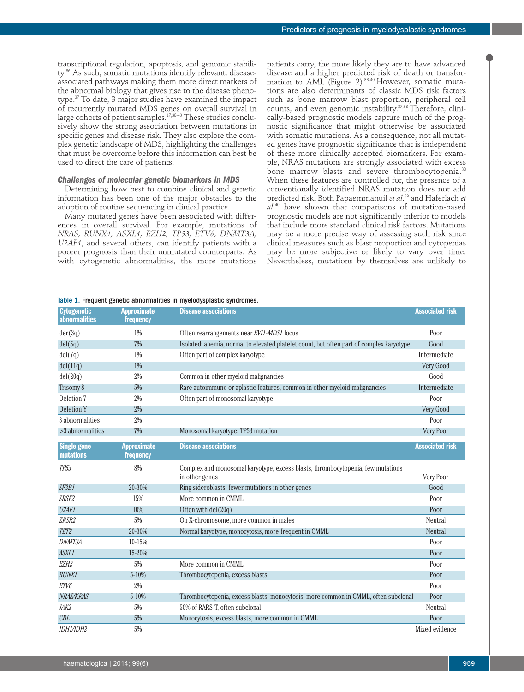transcriptional regulation, apoptosis, and genomic stability.<sup>36</sup> As such, somatic mutations identify relevant, diseaseassociated pathways making them more direct markers of the abnormal biology that gives rise to the disease phenotype.37 To date, 3 major studies have examined the impact of recurrently mutated MDS genes on overall survival in large cohorts of patient samples.17,38-40 These studies conclusively show the strong association between mutations in specific genes and disease risk. They also explore the complex genetic landscape of MDS, highlighting the challenges that must be overcome before this information can best be used to direct the care of patients.

## *Challenges of molecular genetic biomarkers in MDS*

Determining how best to combine clinical and genetic information has been one of the major obstacles to the adoption of routine sequencing in clinical practice.

Many mutated genes have been associated with differences in overall survival. For example, mutations of *NRAS, RUNX1, ASXL1, EZH2, TP53, ETV6, DNMT3A, U2AF1*, and several others, can identify patients with a poorer prognosis than their unmutated counterparts. As with cytogenetic abnormalities, the more mutations

patients carry, the more likely they are to have advanced disease and a higher predicted risk of death or transformation to AML (Figure 2).<sup>38-40</sup> However, somatic mutations are also determinants of classic MDS risk factors such as bone marrow blast proportion, peripheral cell counts, and even genomic instability.37,38 Therefore, clinically-based prognostic models capture much of the prognostic significance that might otherwise be associated with somatic mutations. As a consequence, not all mutated genes have prognostic significance that is independent of these more clinically accepted biomarkers. For example, NRAS mutations are strongly associated with excess bone marrow blasts and severe thrombocytopenia.<sup>38</sup> When these features are controlled for, the presence of a conventionally identified NRAS mutation does not add predicted risk. Both Papaemmanuil *et al*. <sup>39</sup> and Haferlach *et al*. <sup>40</sup> have shown that comparisons of mutation-based prognostic models are not significantly inferior to models that include more standard clinical risk factors. Mutations may be a more precise way of assessing such risk since clinical measures such as blast proportion and cytopenias may be more subjective or likely to vary over time. Nevertheless, mutations by themselves are unlikely to

#### Table 1. Frequent genetic abnormalities in myelodysplastic syndromes.

| <b>Cytogenetic</b><br><b>abnormalities</b> | <b>Approximate</b><br>frequency | <b>Disease associations</b>                                                                       | <b>Associated risk</b> |
|--------------------------------------------|---------------------------------|---------------------------------------------------------------------------------------------------|------------------------|
| der(3q)                                    | 1%                              | Often rearrangements near EVII-MDS1 locus                                                         | Poor                   |
| del(5q)                                    | 7%                              | Isolated: anemia, normal to elevated platelet count, but often part of complex karyotype          | Good                   |
| del(7q)                                    | 1%                              | Often part of complex karyotype                                                                   | Intermediate           |
| del(11q)                                   | $1\%$                           |                                                                                                   | Very Good              |
| del(20q)                                   | 2%                              | Common in other myeloid malignancies                                                              | Good                   |
| Trisomy 8                                  | 5%                              | Rare autoimmune or aplastic features, common in other myeloid malignancies                        | Intermediate           |
| Deletion 7                                 | 2%                              | Often part of monosomal karyotype                                                                 | Poor                   |
| <b>Deletion Y</b>                          | 2%                              |                                                                                                   | Very Good              |
| 3 abnormalities                            | 2%                              |                                                                                                   | Poor                   |
| $>3$ abnormalities                         | 7%                              | Monosomal karyotype, TP53 mutation                                                                | Very Poor              |
| <b>Single gene</b><br>mutations            | <b>Approximate</b><br>frequency | <b>Disease associations</b>                                                                       | <b>Associated risk</b> |
| <b>TP53</b>                                | 8%                              | Complex and monosomal karyotype, excess blasts, thrombocytopenia, few mutations<br>in other genes | Very Poor              |
| SF3B1                                      | 20-30%                          | Ring sideroblasts, fewer mutations in other genes                                                 | Good                   |
| SRSF <sub>2</sub>                          | 15%                             | More common in CMML                                                                               | Poor                   |
| U <sub>2</sub> AF1                         | 10%                             | Often with $del(20q)$                                                                             | Poor                   |
| ZRSR2                                      | 5%                              | On X-chromosome, more common in males                                                             | Neutral                |
| TET <sub>2</sub>                           | 20-30%                          | Normal karyotype, monocytosis, more frequent in CMML                                              | <b>Neutral</b>         |
| DNMT <sub>3</sub> A                        | 10-15%                          |                                                                                                   | Poor                   |
| ASXL1                                      | 15-20%                          |                                                                                                   | Poor                   |
| EZH <sub>2</sub>                           | 5%                              | More common in CMML                                                                               | Poor                   |
| <b>RUNX1</b>                               | 5-10%                           | Thrombocytopenia, excess blasts                                                                   | Poor                   |
| ETV6                                       | 2%                              |                                                                                                   | Poor                   |
| NRAS/KRAS                                  | 5-10%                           | Thrombocytopenia, excess blasts, monocytosis, more common in CMML, often subclonal                | Poor                   |
| JAK2                                       | 5%                              | 50% of RARS-T, often subclonal                                                                    | Neutral                |
| CBL                                        | 5%                              | Monocytosis, excess blasts, more common in CMML                                                   | Poor                   |
| <b>IDH1/IDH2</b>                           | 5%                              |                                                                                                   | Mixed evidence         |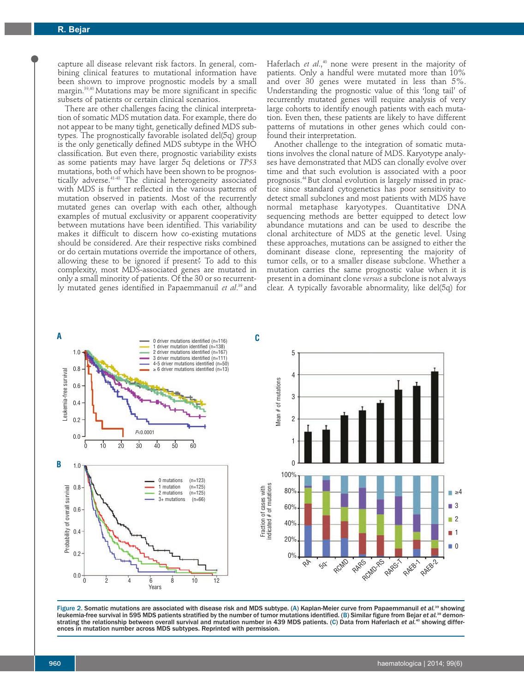capture all disease relevant risk factors. In general, combining clinical features to mutational information have been shown to improve prognostic models by a small margin.39,40 Mutations may be more significant in specific subsets of patients or certain clinical scenarios.

There are other challenges facing the clinical interpretation of somatic MDS mutation data. For example, there do not appear to be many tight, genetically defined MDS subtypes. The prognostically favorable isolated del(5q) group is the only genetically defined MDS subtype in the WHO classification. But even there, prognostic variability exists as some patients may have larger 5q deletions or *TP53* mutations, both of which have been shown to be prognostically adverse.41-43 The clinical heterogeneity associated with MDS is further reflected in the various patterns of mutation observed in patients. Most of the recurrently mutated genes can overlap with each other, although examples of mutual exclusivity or apparent cooperativity between mutations have been identified. This variability makes it difficult to discern how co-existing mutations should be considered. Are their respective risks combined or do certain mutations override the importance of others, allowing these to be ignored if present? To add to this complexity, most MDS-associated genes are mutated in only a small minority of patients. Of the 30 or so recurrently mutated genes identified in Papaemmanuil *et al*. 39 and

Haferlach et al.,<sup>40</sup> none were present in the majority of patients. Only a handful were mutated more than 10% and over 30 genes were mutated in less than 5%. Understanding the prognostic value of this 'long tail' of recurrently mutated genes will require analysis of very large cohorts to identify enough patients with each mutation. Even then, these patients are likely to have different patterns of mutations in other genes which could confound their interpretation.

Another challenge to the integration of somatic mutations involves the clonal nature of MDS. Karyotype analyses have demonstrated that MDS can clonally evolve over time and that such evolution is associated with a poor prognosis.44 But clonal evolution is largely missed in practice since standard cytogenetics has poor sensitivity to detect small subclones and most patients with MDS have normal metaphase karyotypes. Quantitative DNA sequencing methods are better equipped to detect low abundance mutations and can be used to describe the clonal architecture of MDS at the genetic level. Using these approaches, mutations can be assigned to either the dominant disease clone, representing the majority of tumor cells, or to a smaller disease subclone. Whether a mutation carries the same prognostic value when it is present in a dominant clone *versus* a subclone is not always clear. A typically favorable abnormality, like del(5q) for



Figure 2. Somatic mutations are associated with disease risk and MDS subtype. (A) Kaplan-Meier curve from Papaemmanuil *et al.*<sup>39</sup> showing leukemia-free survival in 595 MDS patients stratified by the number of tumor mutations identified. (B) Similar figure from Bejar *et al.*<sup>38</sup> demonstrating the relationship between overall survival and mutation number in 439 MDS patients. (C) Data from Haferlach *et al.*<sup>40</sup> showing differences in mutation number across MDS subtypes. Reprinted with permission.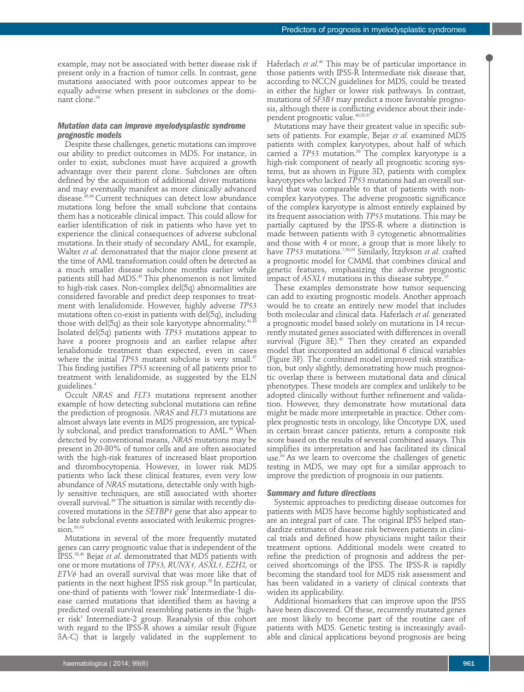example, may not be associated with better disease risk if present only in a fraction of tumor cells. In contrast, gene mutations associated with poor outcomes appear to be equally adverse when present in subclones or the dominant clone.<sup>39</sup>

## *Mutation data can improve myelodysplastic syndrome prognostic models*

Despite these challenges, genetic mutations can improve our ability to predict outcomes in MDS. For instance, in order to exist, subclones must have acquired a growth advantage over their parent clone. Subclones are often defined by the acquisition of additional driver mutations and may eventually manifest as more clinically advanced disease.45,46 Current techniques can detect low abundance mutations long before the small subclone that contains them has a noticeable clinical impact. This could allow for earlier identification of risk in patients who have yet to experience the clinical consequences of adverse subclonal mutations. In their study of secondary AML, for example, Walter *et al*. demonstrated that the major clone present at the time of AML transformation could often be detected as a much smaller disease subclone months earlier while patients still had MDS.<sup>45</sup> This phenomenon is not limited to high-risk cases. Non-complex del(5q) abnormalities are considered favorable and predict deep responses to treatment with lenalidomide. However, highly adverse *TP53* mutations often co-exist in patients with del(5q), including those with del(5q) as their sole karyotype abnormality.<sup>41</sup> Isolated del(5q) patients with *TP53* mutations appear to have a poorer prognosis and an earlier relapse after lenalidomide treatment than expected, even in cases where the initial *TP53* mutant subclone is very small.<sup>47</sup> This finding justifies *TP53* screening of all patients prior to treatment with lenalidomide, as suggested by the ELN guidelines.4

Occult *NRAS* and *FLT3* mutations represent another example of how detecting subclonal mutations can refine the prediction of prognosis. *NRAS* and *FLT3* mutations are almost always late events in MDS progression, are typically subclonal, and predict transformation to AML.<sup>48</sup> When detected by conventional means, *NRAS* mutations may be present in 20-80% of tumor cells and are often associated with the high-risk features of increased blast proportion and thrombocytopenia. However, in lower risk MDS patients who lack these clinical features, even very low abundance of *NRAS* mutations, detectable only with highly sensitive techniques, are still associated with shorter overall survival.49 The situation is similar with recently discovered mutations in the *SETBP1* gene that also appear to be late subclonal events associated with leukemic progression. $50-54$ 

Mutations in several of the more frequently mutated genes can carry prognostic value that is independent of the IPSS.38,40 Bejar *et al*. demonstrated that MDS patients with one or more mutations of *TP53, RUNX1, ASXL1, EZH2,* or *ETV6* had an overall survival that was more like that of patients in the next highest IPSS risk group.<sup>38</sup> In particular, one-third of patients with 'lower risk' Intermediate-1 disease carried mutations that identified them as having a predicted overall survival resembling patients in the 'higher risk' Intermediate-2 group. Reanalysis of this cohort with regard to the IPSS-R shows a similar result (Figure 3A-C) that is largely validated in the supplement to

Haferlach *et al*. <sup>40</sup> This may be of particular importance in those patients with IPSS-R Intermediate risk disease that, according to NCCN guidelines for MDS, could be treated in either the higher or lower risk pathways. In contrast, mutations of *SF3B1* may predict a more favorable prognosis, although there is conflicting evidence about their independent prognostic value.<sup>40,55-5</sup>

Mutations may have their greatest value in specific subsets of patients. For example, Bejar *et al*. examined MDS patients with complex karyotypes, about half of which carried a *TP53* mutation.<sup>38</sup> The complex karyotype is a high-risk component of nearly all prognostic scoring systems, but as shown in Figure 3D, patients with complex karyotypes who lacked *TP53* mutations had an overall survival that was comparable to that of patients with noncomplex karyotypes. The adverse prognostic significance of the complex karyotype is almost entirely explained by its frequent association with *TP53* mutations. This may be partially captured by the IPSS-R where a distinction is made between patients with 3 cytogenetic abnormalities and those with 4 or more, a group that is more likely to have *TP53* mutations.7,58,59 Similarly, Itzykson *et al*. crafted a prognostic model for CMML that combines clinical and genetic features, emphasizing the adverse prognostic impact of *ASXL1* mutations in this disease subtype.<sup>19</sup>

These examples demonstrate how tumor sequencing can add to existing prognostic models. Another approach would be to create an entirely new model that includes both molecular and clinical data. Haferlach *et al*. generated a prognostic model based solely on mutations in 14 recurrently mutated genes associated with differences in overall survival (Figure 3E).<sup>40</sup> Then they created an expanded model that incorporated an additional 6 clinical variables (Figure 3F). The combined model improved risk stratification, but only slightly, demonstrating how much prognostic overlap there is between mutational data and clinical phenotypes. These models are complex and unlikely to be adopted clinically without further refinement and validation. However, they demonstrate how mutational data might be made more interpretable in practice. Other complex prognostic tests in oncology, like Oncotype DX, used in certain breast cancer patients, return a composite risk score based on the results of several combined assays. This simplifies its interpretation and has facilitated its clinical use. $60$  As we learn to overcome the challenges of genetic testing in MDS, we may opt for a similar approach to improve the prediction of prognosis in our patients.

## *Summary and future directions*

Systemic approaches to predicting disease outcomes for patients with MDS have become highly sophisticated and are an integral part of care. The original IPSS helped standardize estimates of disease risk between patients in clinical trials and defined how physicians might tailor their treatment options. Additional models were created to refine the prediction of prognosis and address the perceived shortcomings of the IPSS. The IPSS-R is rapidly becoming the standard tool for MDS risk assessment and has been validated in a variety of clinical contexts that widen its applicability.

Additional biomarkers that can improve upon the IPSS have been discovered. Of these, recurrently mutated genes are most likely to become part of the routine care of patients with MDS. Genetic testing is increasingly available and clinical applications beyond prognosis are being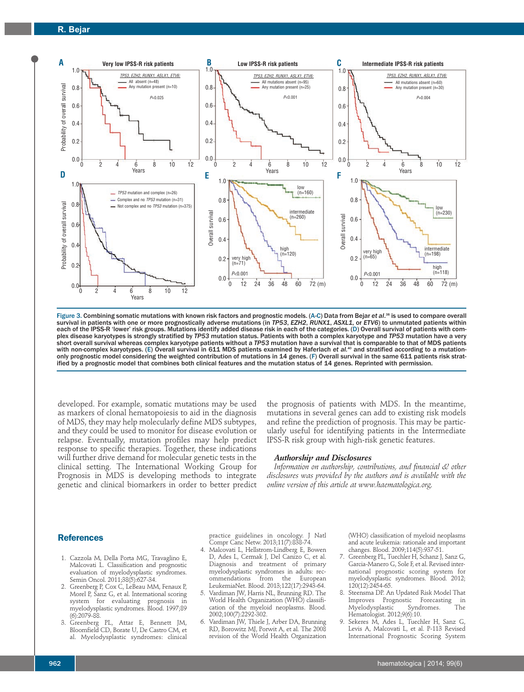

Figure 3. Combining somatic mutations with known risk factors and prognostic models. (A-C) Data from Bejar *et al*. <sup>38</sup> is used to compare overall survival in patients with one or more prognostically adverse mutations (in *TP53*, *EZH2*, *RUNX1*, *ASXL1*, or *ETV6*) to unmutated patients within each of the IPSS-R 'lower' risk groups. Mutations identify added disease risk in each of the categories. (D) Overall survival of patients with complex disease karyotypes is strongly stratified by *TP53* mutation status. Patients with both a complex karyotype and *TP53* mutation have a very short overall survival whereas complex karyotype patients without a *TP53* mutation have a survival that is comparable to that of MDS patients with non-complex karyotypes. (E) Overall survival in 611 MDS patients examined by Haferlach *et al.*<sup>40</sup> and stratified according to a mutationonly prognostic model considering the weighted contribution of mutations in 14 genes. (F) Overall survival in the same 611 patients risk stratified by a prognostic model that combines both clinical features and the mutation status of 14 genes. Reprinted with permission.

developed. For example, somatic mutations may be used as markers of clonal hematopoiesis to aid in the diagnosis of MDS, they may help molecularly define MDS subtypes, and they could be used to monitor for disease evolution or relapse. Eventually, mutation profiles may help predict response to specific therapies. Together, these indications will further drive demand for molecular genetic tests in the clinical setting. The International Working Group for Prognosis in MDS is developing methods to integrate genetic and clinical biomarkers in order to better predict

the prognosis of patients with MDS. In the meantime, mutations in several genes can add to existing risk models and refine the prediction of prognosis. This may be particularly useful for identifying patients in the Intermediate IPSS-R risk group with high-risk genetic features.

#### *Authorship and Disclosures*

*Information on authorship, contributions, and financial & other disclosures was provided by the authors and is available with the online version of this article at www.haematologica.org.*

## **References**

- 1. Cazzola M, Della Porta MG, Travaglino E, Malcovati L. Classification and prognostic evaluation of myelodysplastic syndromes. Semin Oncol. 2011;38(5):627-34.
- 2. Greenberg P, Cox C, LeBeau MM, Fenaux P, Morel P, Sanz G, et al. International scoring system for evaluating prognosis in myelodysplastic syndromes. Blood. 1997;89  $(6):2079-88.$
- 3. Greenberg PL, Attar E, Bennett JM, Bloomfield CD, Borate U, De Castro CM, et al. Myelodysplastic syndromes: clinical

practice guidelines in oncology. J Natl Compr Canc Netw. 2013;11(7):838-74.

- 4. Malcovati L, Hellstrom-Lindberg E, Bowen D, Ades L, Cermak J, Del Canizo C, et al. Diagnosis and treatment of primary myelodysplastic syndromes in adults: rec $ommendations$  from the LeukemiaNet. Blood. 2013;122(17):2943-64.
- 5. Vardiman JW, Harris NL, Brunning RD. The World Health Organization (WHO) classification of the myeloid neoplasms. Blood. 2002;100(7):2292-302.
- 6. Vardiman JW, Thiele J, Arber DA, Brunning RD, Borowitz MJ, Porwit A, et al. The 2008 revision of the World Health Organization

(WHO) classification of myeloid neoplasms and acute leukemia: rationale and important changes. Blood. 2009;114(5):937-51.

- 7. Greenberg PL, Tuechler H, Schanz J, Sanz G, Garcia-Manero G, Sole F, et al. Revised international prognostic scoring system for myelodysplastic syndromes. Blood. 2012;  $120(12)$ : $2454$ -65.<br>8. Steensma DP. An Updated Risk Model That
- 8. Steensma DP. An Updated Risk Model That Improves Prognostic Forecasting in Myelodysplastic Syndromes. The Hematologist. 2012;9(6):10.
- 9. Sekeres M, Ades L, Tuechler H, Sanz G, Levis A, Malcovati L, et al. P-113 Revised International Prognostic Scoring System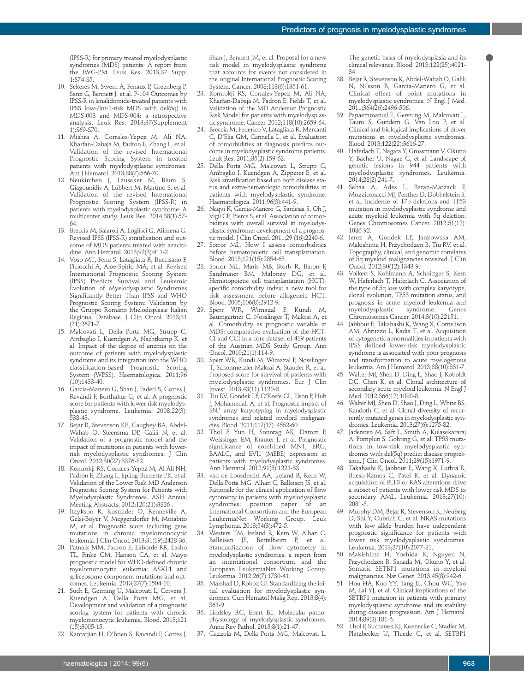(IPSS-R) for primary treated myelodysplastic syndromes (MDS) patients: A report from the IWG-PM. Leuk Res. 2013;37 Suppl 1:S74-S5.

- 10. Sekeres M, Swern A, Fenaux P, Greenberg P, Sanz G, Bennett J, et al. P-104 Outcomes by IPSS-R in lenalidomide-treated patients with IPSS low-/Int-1-risk MDS with del(5q) in MDS-003 and MDS-004: a retrospective analysis. Leuk Res. 2013;37(Supplement 1):S69-S70.
- 11. Mishra A, Corrales-Yepez M, Ali NA, Kharfan-Dabaja M, Padron E, Zhang L, et al. Validation of the revised International Prognostic Scoring System in treated patients with myelodysplastic syndromes. Am J Hematol. 2013;88(7):566-70.
- 12. Neukirchen J, Lauseker M, Blum S, Giagounidis A, Lübbert M, Martino S, et al. Validation of the revised International Prognostic Scoring System (IPSS-R) in patients with myelodysplastic syndrome: A multicenter study. Leuk Res. 2014;38(1):57- 64.
- 13. Breccia M, Salaroli A, Loglisci G, Alimena G. Revised IPSS (IPSS-R) stratification and outcome of MDS patients treated with azacitidine. Ann Hematol. 2013;92(3):411-2.
- 14. Voso MT, Fenu S, Latagliata R, Buccisano F, Piciocchi A, Aloe-Spiriti MA, et al. Revised International Prognostic Scoring System (IPSS) Predicts Survival and Leukemic Evolution of Myelodysplastic Syndromes Significantly Better Than IPSS and WHO Prognostic Scoring System: Validation by the Gruppo Romano Mielodisplasie Italian Regional Database. J Clin Oncol. 2013;31 (21):2671-7.
- 15. Malcovati L, Della Porta MG, Strupp C, Ambaglio I, Kuendgen A, Nachtkamp K, et al. Impact of the degree of anemia on the outcome of patients with myelodysplastic syndrome and its integration into the WHO classification-based Prognostic Scoring System (WPSS). Haematologica. 2011;96 (10):1433-40.
- 16. Garcia-Manero G, Shan J, Faderl S, Cortes J, Ravandi F, Borthakur G, et al. A prognostic score for patients with lower risk myelodysplastic syndrome. Leukemia. 2008;22(3): 538-43.
- 17. Bejar R, Stevenson KE, Caughey BA, Abdel-Wahab O, Steensma DP, Galili N, et al. Validation of a prognostic model and the impact of mutations in patients with lowerrisk myelodysplastic syndromes. J Clin Oncol. 2012;30(27):3376-82.
- 18. Komrokji RS, Corrales-Yepez M, Al Ali NH, Padron E, Zhang L, Epling-Burnette PK, et al. Validation of the Lower Risk MD Anderson Prognostic Scoring System for Patients with Myelodysplastic Syndromes. ASH Annual Meeting Abstracts. 2012;120(21):3826-.
- 19. Itzykson R, Kosmider O, Renneville A, Gelsi-Boyer V, Meggendorfer M, Morabito M, et al. Prognostic score including gene mutations in chronic myelomonocytic leukemia. J Clin Oncol. 2013;31(19):2428-36.
- 20. Patnaik MM, Padron E, LaBorde RR, Lasho TL, Finke CM, Hanson CA, et al. Mayo prognostic model for WHO-defined chronic myelomonocytic leukemia: ASXL1 and spliceosome component mutations and outcomes. Leukemia. 2013;27(7):1504-10.
- 21. Such E, Germing U, Malcovati L, Cervera J, Kuendgen A, Della Porta MG, et al. Development and validation of a prognostic scoring system for patients with chronic myelomonocytic leukemia. Blood. 2013;121 (15):3005-15.
- 22. Kantarjian H, O'Brien S, Ravandi F, Cortes J,

Shan J, Bennett JM, et al. Proposal for a new risk model in myelodysplastic syndrome that accounts for events not considered in the original International Prognostic Scoring System. Cancer. 2008;113(6):1351-61.

- 23. Komrokji RS, Corrales-Yepez M, Ali NA, Kharfan-Dabaja M, Padron E, Fields T, et al. Validation of the MD Anderson Prognostic Risk Model for patients with myelodysplastic syndrome. Cancer. 2012;118(10):2659-64.
- 24. Breccia M, Federico V, Latagliata R, Mercanti C, D'Elia GM, Cannella L, et al. Evaluation of comorbidities at diagnosis predicts outcome in myelodysplastic syndrome patients. Leuk Res. 2011;35(2):159-62.
- 25. Della Porta MG, Malcovati L, Strupp C, Ambaglio I, Kuendgen A, Zipperer E, et al. Risk stratification based on both disease status and extra-hematologic comorbidities in patients with myelodysplastic syndrome. Haematologica. 2011;96(3):441-9.
- 26. Naqvi K, Garcia-Manero G, Sardesai S, Oh J, Vigil CE, Pierce S, et al. Association of comorbidities with overall survival in myelodysplastic syndrome: development of a prognostic model. J Clin Oncol. 2011;29 (16):2240-6.
- 27. Sorror ML. How I assess comorbidities before hematopoietic cell transplantation. Blood. 2013;121(15):2854-63.
- 28. Sorror ML, Maris MB, Storb R, Baron F, Sandmaier BM, Maloney DG, et al. Hematopoietic cell transplantation (HCT) specific comorbidity index: a new tool for risk assessment before allogeneic HCT. Blood. 2005;106(8):2912-9.
- 29. Sperr WR, Wimazal F, Kundi M, Baumgartner C, Nosslinger T, Makrai A, et al. Comorbidity as prognostic variable in MDS: comparative evaluation of the HCT-CI and CCI in a core dataset of 419 patients of the Austrian MDS Study Group. Ann Oncol. 2010;21(1):114-9.
- 30. Sperr WR, Kundi M, Wimazal F, Nosslinger T, Schonmetzler-Makrai A, Stauder R, et al. Proposed score for survival of patients with myelodysplastic syndromes. Eur J Clin Invest. 2013;43(11):1120-8.
- 31. Tiu RV, Gondek LP, O'Keefe CL, Elson P, Huh J, Mohamedali A, et al. Prognostic impact of SNP array karyotyping in myelodysplastic syndromes and related myeloid malignancies. Blood. 2011;117(17): 4552-60.
- 32. Thol F, Yun H, Sonntag AK, Damm F, Weissinger EM, Krauter J, et al. Prognostic significance of combined MN1, ERG, BAALC, and EVI1 (MEBE) expression in patients with myelodysplastic syndromes. Ann Hematol. 2012;91(8):1221-33.
- 33. van de Loosdrecht AA, Ireland R, Kern W, Della Porta MG, Alhan C, Balleisen JS, et al. Rationale for the clinical application of flow cytometry in patients with myelodysplastic syndromes: position paper of an International Consortium and the European LeukemiaNet Working Group. Leuk Lymphoma. 2013;54(3):472-5.
- 34. Westers TM, Ireland R, Kern W, Alhan C, Balleisen JS, Bettelheim P, et al. Standardization of flow cytometry in myelodysplastic syndromes: a report from an international consortium and the European LeukemiaNet Working Group. Leukemia. 2012;26(7):1730-41.
- 35. Marshall D, Roboz GJ. Standardizing the initial evaluation for myelodysplastic syndromes. Curr Hematol Malig Rep. 2013;8(4): 361-9.
- 36. Lindsley RC, Ebert BL. Molecular pathophysiology of myelodysplastic syndromes. Annu Rev Pathol. 2013;8(1):21-47.
- 37. Cazzola M, Della Porta MG, Malcovati L.

The genetic basis of myelodysplasia and its clinical relevance. Blood. 2013;122(25):4021- 34.

- 38. Bejar R, Stevenson K, Abdel-Wahab O, Galili N, Nilsson B, Garcia-Manero G, et al. Clinical effect of point mutations in myelodysplastic syndromes. N Engl J Med. 2011;364(26):2496-506.
- 39. Papaemmanuil E, Gerstung M, Malcovati L, Tauro S, Gundem G, Van Loo P, et al. Clinical and biological implications of driver mutations in myelodysplastic syndromes. Blood. 2013;122(22):3616-27.
- 40. Haferlach T, Nagata Y, Grossmann V, Okuno Y, Bacher U, Nagae G, et al. Landscape of genetic lesions in 944 patients with myelodysplastic syndromes. Leukemia. 2014;28(2):241-7.
- 41. Sebaa A, Ades L, Baran-Marzack F, Mozziconacci MJ, Penther D, Dobbelstein S, et al. Incidence of 17p deletions and TP53 mutation in myelodysplastic syndrome and acute myeloid leukemia with 5q deletion. Genes Chromosomes Cancer. 2012;51(12): 1086-92.
- 42. Jerez A, Gondek LP, Jankowska AM, Makishima H, Przychodzen B, Tiu RV, et al. Topography, clinical, and genomic correlates of 5q myeloid malignancies revisited. J Clin Oncol. 2012;30(12):1343-9.
- 43. Volkert S, Kohlmann A, Schnittger S, Kern W, Haferlach T, Haferlach C. Association of the type of 5q loss with complex karyotype, clonal evolution, TP53 mutation status, and prognosis in acute myeloid leukemia and<br>myelodysplastic syndrome. Genes myelodysplastic Chromosomes Cancer. 2014;3(10):22151.
- 44. Jabbour E, Takahashi K, Wang X, Cornelison AM, Abruzzo L, Kadia T, et al. Acquisition of cytogenetic abnormalities in patients with IPSS defined lower-risk myelodysplastic syndrome is associated with poor prognosis and transformation to acute myelogenous leukemia. Am J Hematol. 2013;88(10):831-7.
- 45. Walter MJ, Shen D, Ding L, Shao J, Koboldt DC, Chen K, et al. Clonal architecture of secondary acute myeloid leukemia. N Engl J Med. 2012;366(12):1090-8.
- Walter MJ, Shen D, Shao J, Ding L, White BS, Kandoth C, et al. Clonal diversity of recurrently mutated genes in myelodysplastic syndromes. Leukemia. 2013;27(6):1275-82.
- Jadersten M, Saft L, Smith A, Kulasekararaj A, Pomplun S, Gohring G, et al. TP53 mutations in low-risk myelodysplastic syndromes with del(5q) predict disease progression. J Clin Oncol. 2011;29(15):1971-9.
- 48. Takahashi K, Jabbour E, Wang X, Luthra R, Bueso-Ramos C, Patel K, et al. Dynamic acquisition of FLT3 or RAS alterations drive a subset of patients with lower risk MDS to secondary AML. Leukemia. 2013;27(10): 2081-3.
- 49. Murphy DM, Bejar R, Stevenson K, Neuberg D, Shi Y, Cubrich C, et al. NRAS mutations with low allele burden have independent prognostic significance for patients with lower risk myelodysplastic syndromes. Leukemia. 2013;27(10):2077-81.
- 50. Makishima H, Yoshida K, Nguyen N, Przychodzen B, Sanada M, Okuno Y, et al. Somatic SETBP1 mutations in myeloid malignancies. Nat Genet. 2013;45(8):942-6.
- 51. Hou HA, Kuo YY, Tang JL, Chou WC, Yao M, Lai YJ, et al. Clinical implications of the SETBP1 mutation in patients with primary myelodysplastic syndrome and its stability during disease progression. Am J Hematol. 2014;89(2):181-6.
- 52. Thol F, Suchanek KJ, Koenecke C, Stadler M, Platzbecker U, Thiede C, et al. SETBP1